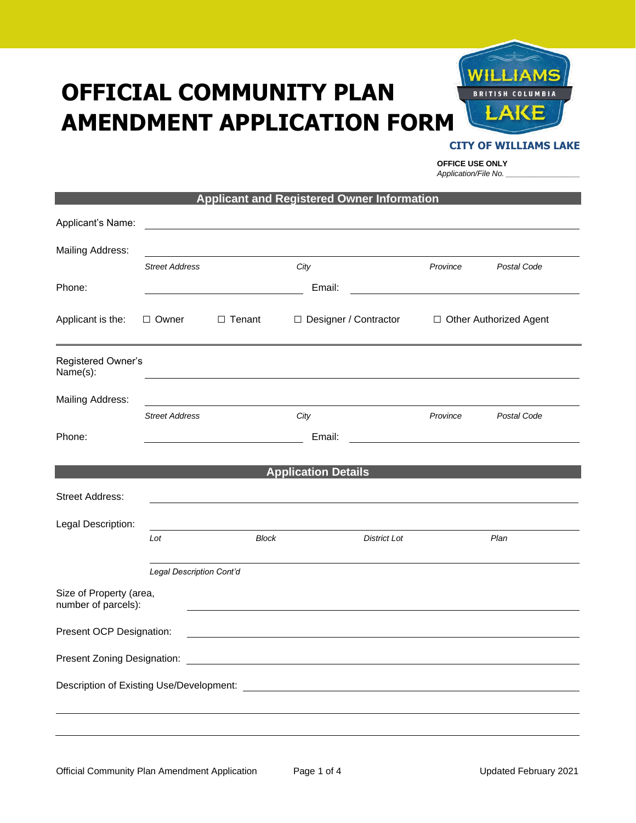# **OFFICIAL COMMUNITY PLAN AMENDMENT APPLICATION FORM**



## **CITY OF WILLIAMS LAKE**

**OFFICE USE ONLY** *Application/File No. \_\_\_\_\_\_\_\_\_\_\_\_\_\_\_\_\_*

|                                                |                          | <b>Applicant and Registered Owner Information</b> |                            |                         |          |                          |
|------------------------------------------------|--------------------------|---------------------------------------------------|----------------------------|-------------------------|----------|--------------------------|
| Applicant's Name:                              |                          |                                                   |                            |                         |          |                          |
| <b>Mailing Address:</b>                        |                          |                                                   |                            |                         |          |                          |
|                                                | <b>Street Address</b>    |                                                   | City                       |                         | Province | Postal Code              |
| Phone:                                         |                          |                                                   | Email:                     |                         |          |                          |
| Applicant is the:                              | □ Owner                  | $\Box$ Tenant                                     |                            | □ Designer / Contractor |          | □ Other Authorized Agent |
| Registered Owner's<br>Name(s):                 |                          |                                                   |                            |                         |          |                          |
| <b>Mailing Address:</b>                        |                          |                                                   |                            |                         |          |                          |
|                                                | <b>Street Address</b>    |                                                   | City                       |                         | Province | Postal Code              |
| Phone:                                         |                          |                                                   | Email:                     |                         |          |                          |
|                                                |                          |                                                   |                            |                         |          |                          |
|                                                |                          |                                                   | <b>Application Details</b> |                         |          |                          |
| <b>Street Address:</b>                         |                          |                                                   |                            |                         |          |                          |
| Legal Description:                             |                          |                                                   |                            |                         |          |                          |
|                                                | Lot                      | <b>Block</b>                                      |                            | <b>District Lot</b>     |          | Plan                     |
|                                                | Legal Description Cont'd |                                                   |                            |                         |          |                          |
| Size of Property (area,<br>number of parcels): |                          |                                                   |                            |                         |          |                          |
| Present OCP Designation:                       |                          |                                                   |                            |                         |          |                          |
|                                                |                          |                                                   |                            |                         |          |                          |
|                                                |                          |                                                   |                            |                         |          |                          |
|                                                |                          |                                                   |                            |                         |          |                          |
|                                                |                          |                                                   |                            |                         |          |                          |
|                                                |                          |                                                   |                            |                         |          |                          |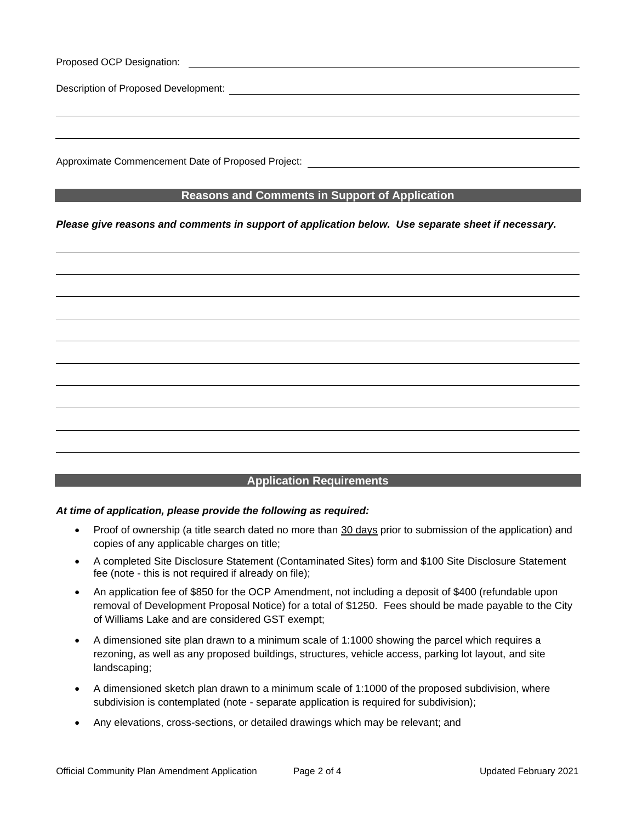| Proposed OCP Designation:            | <u> 1989 - John Stein, mars and de final and de final and de final and de final and de final and de final and de</u> |  |  |
|--------------------------------------|----------------------------------------------------------------------------------------------------------------------|--|--|
| Description of Proposed Development: |                                                                                                                      |  |  |
|                                      |                                                                                                                      |  |  |
|                                      |                                                                                                                      |  |  |
|                                      |                                                                                                                      |  |  |

Approximate Commencement Date of Proposed Project:

# **Reasons and Comments in Support of Application**

## *Please give reasons and comments in support of application below. Use separate sheet if necessary.*



# **Application Requirements**

## *At time of application, please provide the following as required:*

- Proof of ownership (a title search dated no more than 30 days prior to submission of the application) and copies of any applicable charges on title;
- A completed Site Disclosure Statement (Contaminated Sites) form and \$100 Site Disclosure Statement fee (note - this is not required if already on file);
- An application fee of \$850 for the OCP Amendment, not including a deposit of \$400 (refundable upon removal of Development Proposal Notice) for a total of \$1250. Fees should be made payable to the City of Williams Lake and are considered GST exempt;
- A dimensioned site plan drawn to a minimum scale of 1:1000 showing the parcel which requires a rezoning, as well as any proposed buildings, structures, vehicle access, parking lot layout, and site landscaping;
- A dimensioned sketch plan drawn to a minimum scale of 1:1000 of the proposed subdivision, where subdivision is contemplated (note - separate application is required for subdivision);
- Any elevations, cross-sections, or detailed drawings which may be relevant; and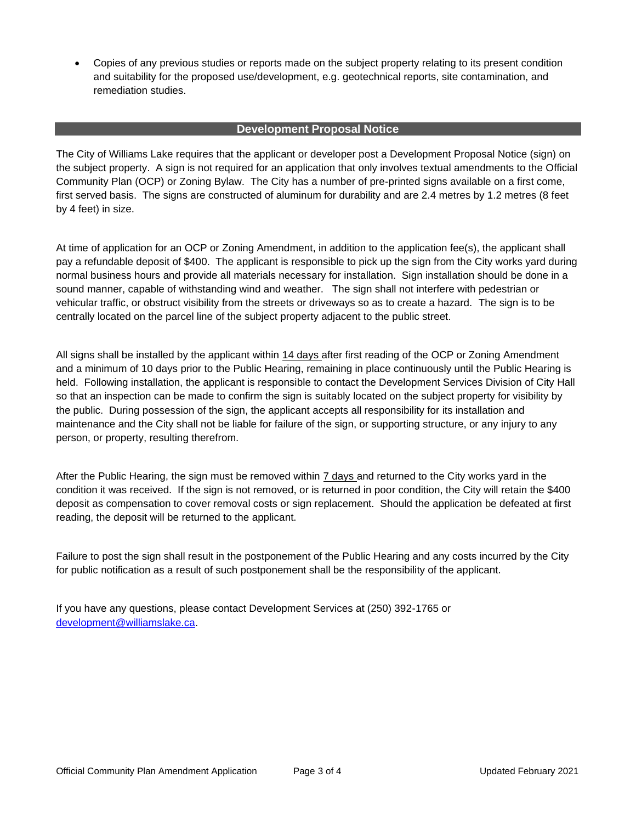• Copies of any previous studies or reports made on the subject property relating to its present condition and suitability for the proposed use/development, e.g. geotechnical reports, site contamination, and remediation studies.

# **Development Proposal Notice**

The City of Williams Lake requires that the applicant or developer post a Development Proposal Notice (sign) on the subject property. A sign is not required for an application that only involves textual amendments to the Official Community Plan (OCP) or Zoning Bylaw. The City has a number of pre-printed signs available on a first come, first served basis. The signs are constructed of aluminum for durability and are 2.4 metres by 1.2 metres (8 feet by 4 feet) in size.

At time of application for an OCP or Zoning Amendment, in addition to the application fee(s), the applicant shall pay a refundable deposit of \$400. The applicant is responsible to pick up the sign from the City works yard during normal business hours and provide all materials necessary for installation. Sign installation should be done in a sound manner, capable of withstanding wind and weather. The sign shall not interfere with pedestrian or vehicular traffic, or obstruct visibility from the streets or driveways so as to create a hazard. The sign is to be centrally located on the parcel line of the subject property adjacent to the public street.

All signs shall be installed by the applicant within 14 days after first reading of the OCP or Zoning Amendment and a minimum of 10 days prior to the Public Hearing, remaining in place continuously until the Public Hearing is held. Following installation, the applicant is responsible to contact the Development Services Division of City Hall so that an inspection can be made to confirm the sign is suitably located on the subject property for visibility by the public. During possession of the sign, the applicant accepts all responsibility for its installation and maintenance and the City shall not be liable for failure of the sign, or supporting structure, or any injury to any person, or property, resulting therefrom.

After the Public Hearing, the sign must be removed within 7 days and returned to the City works yard in the condition it was received. If the sign is not removed, or is returned in poor condition, the City will retain the \$400 deposit as compensation to cover removal costs or sign replacement. Should the application be defeated at first reading, the deposit will be returned to the applicant.

Failure to post the sign shall result in the postponement of the Public Hearing and any costs incurred by the City for public notification as a result of such postponement shall be the responsibility of the applicant.

If you have any questions, please contact Development Services at (250) 392-1765 or [development@williamslake.ca.](mailto:development@williamslake.ca)